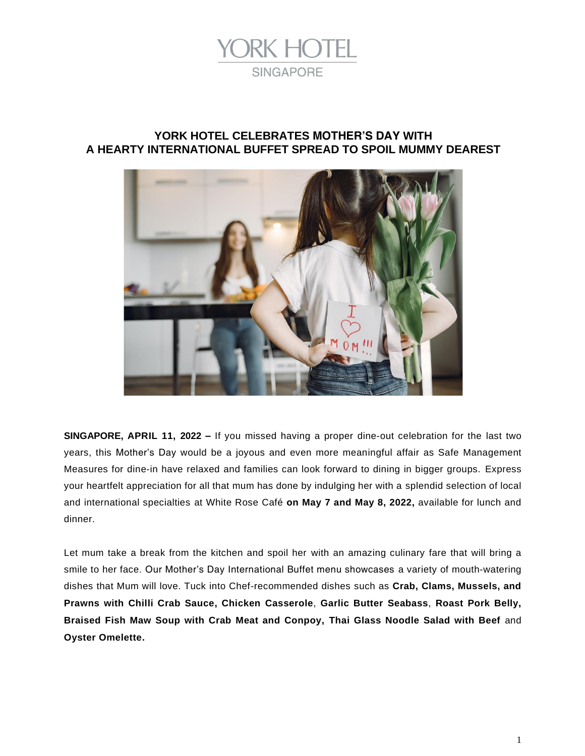

# **YORK HOTEL CELEBRATES MOTHER'S DAY WITH A HEARTY INTERNATIONAL BUFFET SPREAD TO SPOIL MUMMY DEAREST**



**SINGAPORE, APRIL 11, 2022 –** If you missed having a proper dine-out celebration for the last two years, this Mother's Day would be a joyous and even more meaningful affair as Safe Management Measures for dine-in have relaxed and families can look forward to dining in bigger groups. Express your heartfelt appreciation for all that mum has done by indulging her with a splendid selection of local and international specialties at White Rose Café **on May 7 and May 8, 2022,** available for lunch and dinner.

Let mum take a break from the kitchen and spoil her with an amazing culinary fare that will bring a smile to her face. Our Mother's Day International Buffet menu showcases a variety of mouth-watering dishes that Mum will love. Tuck into Chef-recommended dishes such as **Crab, Clams, Mussels, and Prawns with Chilli Crab Sauce, Chicken Casserole**, **Garlic Butter Seabass**, **Roast Pork Belly, Braised Fish Maw Soup with Crab Meat and Conpoy, Thai Glass Noodle Salad with Beef** and **Oyster Omelette.**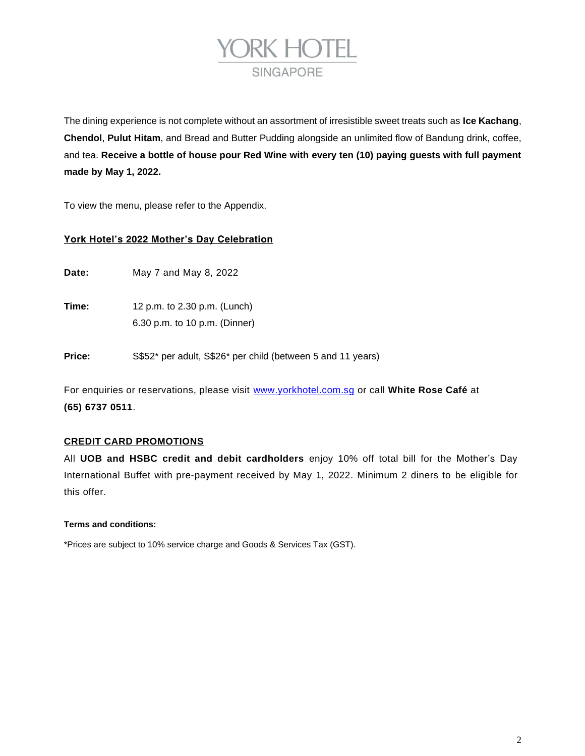

The dining experience is not complete without an assortment of irresistible sweet treats such as **Ice** *Kachang*, *Chendol*, *Pulut Hitam*, and Bread and Butter Pudding alongside an unlimited flow of *Bandung* drink, coffee, and tea. **Receive a bottle of house pour Red Wine with every ten (10) paying guests with full payment made by May 1, 2022.**

To view the menu, please refer to the Appendix.

## **York Hotel's 2022 Mother's Day Celebration**

**Date:** May 7 and May 8, 2022

**Time:** 12 p.m. to 2.30 p.m. (Lunch) 6.30 p.m. to 10 p.m. (Dinner)

**Price:** S\$52\* per adult, S\$26\* per child (between 5 and 11 years)

For enquiries or reservations, please visit [www.yorkhotel.com.sg](http://www.yorkhotel.com.sg/) or call **White Rose Café** at **(65) 6737 0511**.

## **CREDIT CARD PROMOTIONS**

All **UOB and HSBC credit and debit cardholders** enjoy 10% off total bill for the Mother's Day International Buffet with pre-payment received by May 1, 2022. Minimum 2 diners to be eligible for this offer.

## **Terms and conditions:**

\*Prices are subject to 10% service charge and Goods & Services Tax (GST).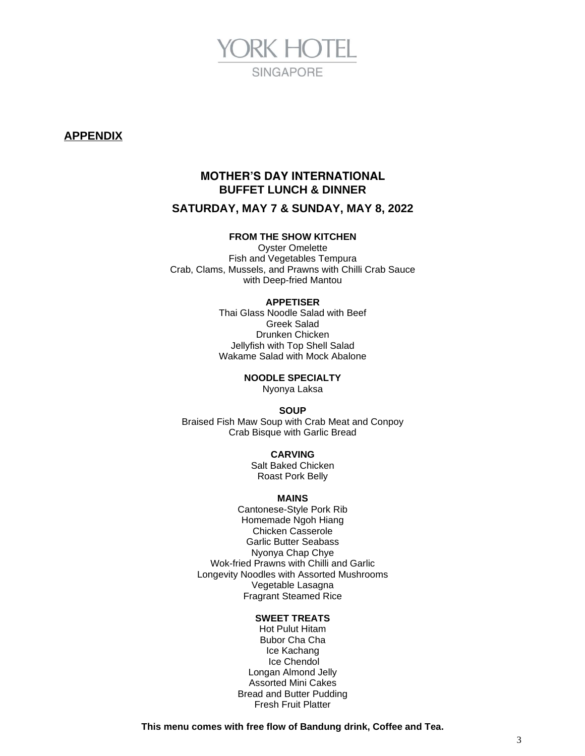

## **APPENDIX**

# **MOTHER'S DAY INTERNATIONAL BUFFET LUNCH & DINNER**

## **SATURDAY, MAY 7 & SUNDAY, MAY 8, 2022**

## **FROM THE SHOW KITCHEN**

Oyster Omelette Fish and Vegetables Tempura Crab, Clams, Mussels, and Prawns with Chilli Crab Sauce with Deep-fried Mantou

#### **APPETISER**

Thai Glass Noodle Salad with Beef Greek Salad Drunken Chicken Jellyfish with Top Shell Salad Wakame Salad with Mock Abalone

> **NOODLE SPECIALTY** *Nyonya Laksa*

> > **SOUP**

Braised Fish Maw Soup with Crab Meat and Conpoy Crab Bisque with Garlic Bread

### **CARVING**

Salt Baked Chicken Roast Pork Belly

### **MAINS**

Cantonese-Style Pork Rib Homemade *Ngoh Hiang* Chicken Casserole Garlic Butter Seabass *Nyonya Chap Chye* Wok-fried Prawns with Chilli and Garlic Longevity Noodles with Assorted Mushrooms Vegetable Lasagna Fragrant Steamed Rice

### **SWEET TREATS**

Hot *Pulut Hitam Bubor Cha Cha* Ice *Kachang* Ice *Chendol* Longan Almond Jelly Assorted Mini Cakes Bread and Butter Pudding Fresh Fruit Platter

**This menu comes with free flow of Bandung drink, Coffee and Tea.**